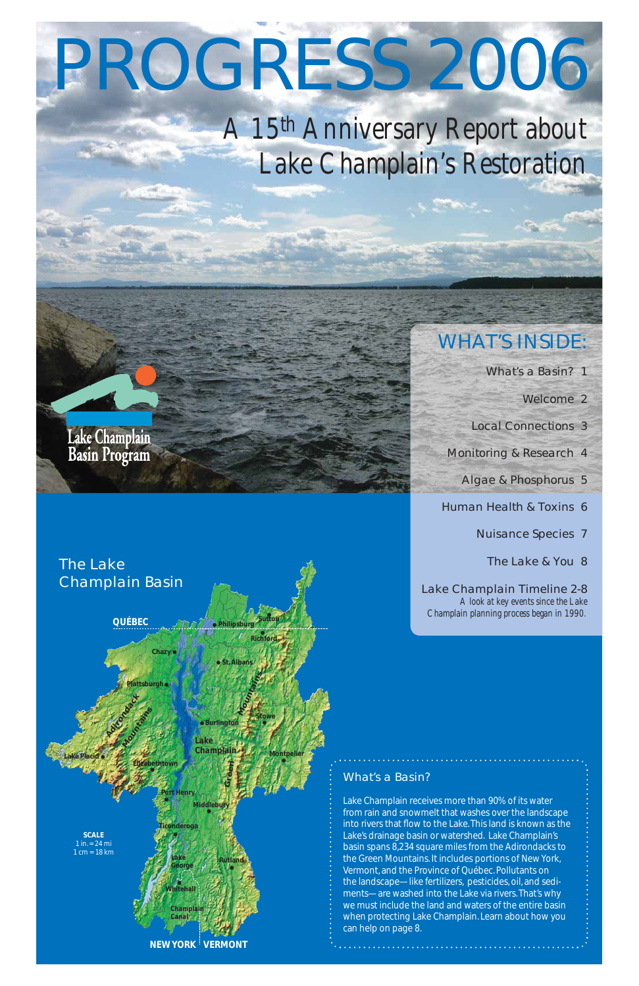# PROGRESS 2006

# *A 15th Anniversary Report about Lake Champlain's Restoration*

# Lake Champlain<br>Basin Program

# WHAT'S INSIDE:

What's a Basin? 1

Welcome 2

Local Connections 3

Monitoring & Research 4

Algae & Phosphorus 5

Human Health & Toxins 6

Nuisance Species 7

The Lake & You 8

Lake Champlain Timeline 2-8 *A look at key events since the Lake Champlain planning process began in 1990.* 

### What's a Basin?





Lake Champlain receives more than 90% of its water from rain and snowmelt that washes over the landscape into rivers that flow to the Lake. This land is known as the Lake's drainage basin or watershed. Lake Champlain's basin spans 8,234 square miles from the Adirondacks to the Green Mountains. It includes portions of New York, Vermont, and the Province of Québec. Pollutants on the landscape—like fertilizers, pesticides, oil, and sediments—are washed into the Lake via rivers. That's why we must include the land and waters of the entire basin when protecting Lake Champlain. Learn about how you can help on page 8.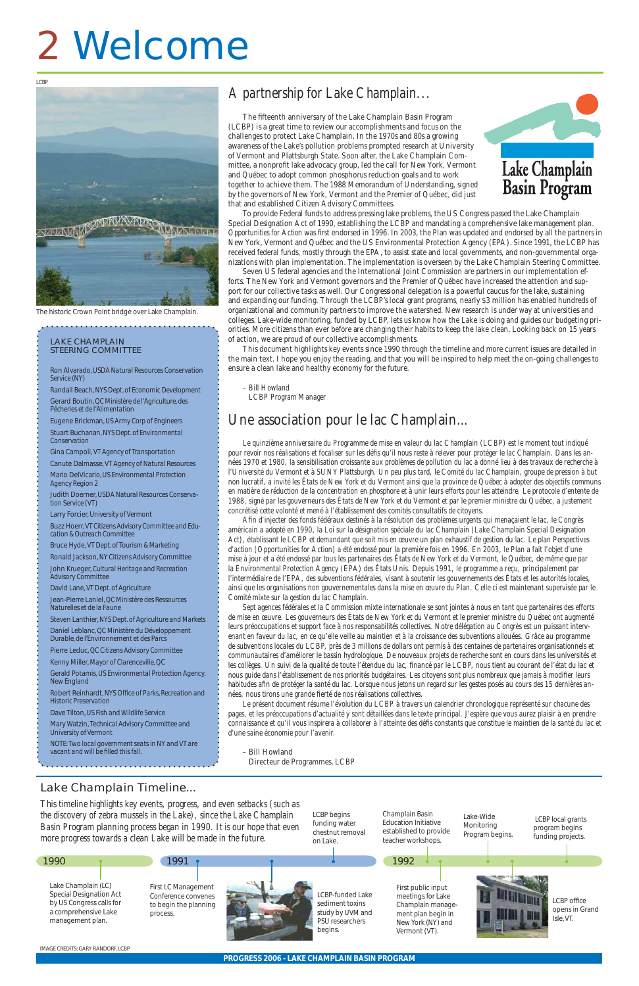# Lake Champlain Timeline...

**PROGRESS 2006 - LAKE CHAMPLAIN BASIN PROGRAM**

The fifteenth anniversary of the Lake Champlain Basin Program (LCBP) is a great time to review our accomplishments and focus on the challenges to protect Lake Champlain. In the 1970s and 80s a growing awareness of the Lake's pollution problems prompted research at University of Vermont and Plattsburgh State. Soon after, the Lake Champlain Committee, a nonprofit lake advocacy group, led the call for New York, Vermont and Québec to adopt common phosphorus reduction goals and to work together to achieve them. The 1988 Memorandum of Understanding, signed by the governors of New York, Vermont and the Premier of Québec, did just that and established Citizen Advisory Committees.



To provide Federal funds to address pressing lake problems, the US Congress passed the Lake Champlain Special Designation Act of 1990, establishing the LCBP and mandating a comprehensive lake management plan. *Opportunities for Action* was first endorsed in 1996. In 2003, the Plan was updated and endorsed by all the partners in New York, Vermont and Québec and the US Environmental Protection Agency (EPA). Since 1991, the LCBP has received federal funds, mostly through the EPA, to assist state and local governments, and non-governmental organizations with plan implementation. The implementation is overseen by the Lake Champlain Steering Committee.

Seven US federal agencies and the International Joint Commission are partners in our implementation efforts. The New York and Vermont governors and the Premier of Québec have increased the attention and support for our collective tasks as well. Our Congressional delegation is a powerful caucus for the lake, sustaining and expanding our funding. Through the LCBP's local grant programs, nearly \$3 million has enabled hundreds of organizational and community partners to improve the watershed. New research is under way at universities and colleges. Lake-wide monitoring, funded by LCBP, lets us know how the Lake is doing and guides our budgeting priorities. More citizens than ever before are changing their habits to keep the lake clean. Looking back on 15 years of action, we are proud of our collective accomplishments.

Afin d'injecter des fonds fédéraux destinés à la résolution des problèmes urgents qui menaçaient le lac, le Congrès *américain a adopté en 1990, la Loi sur la désignation spéciale du lac Champlain (Lake Champlain Special Designation Act), établissant le LCBP et demandant que soit mis en œuvre un plan exhaustif de gestion du lac. Le plan Perspectives d'action (Opportunities for Action) a été endossé pour la première fois en 1996. En 2003, le Plan a fait l'objet d'une mise à jour et a été endossé par tous les partenaires des États de New York et du Vermont, le Québec, de même que par la Environmental Protection Agency (EPA) des États Unis. Depuis 1991, le programme a reçu, principalement par l'intermédiaire de l'EPA, des subventions fédérales, visant à soutenir les gouvernements des États et les autorités locales, ainsi que les organisations non gouvernementales dans la mise en œuvre du Plan. Celle ci est maintenant supervisée par le Comité mixte sur la gestion du lac Champlain.*

*Sept agences fédérales et la Commission mixte internationale se sont jointes à nous en tant que partenaires des efforts de mise en œuvre. Les gouverneurs des États de New York et du Vermont et le premier ministre du Québec ont augmenté leurs préoccupations et support face à nos responsabilités collectives. Notre délégation au Congrès est un puissant intervenant en faveur du lac, en ce qu'elle veille au maintien et à la croissance des subventions allouées. Grâce au programme de subventions locales du LCBP, près de 3 millions de dollars ont permis à des centaines de partenaires organisationnels et communautaires d'améliorer le bassin hydrologique. De nouveaux projets de recherche sont en cours dans les universités et*  les collèges. Un suivi de la qualité de toute l'étendue du lac, financé par le LCBP, nous tient au courant de l'état du lac et *nous guide dans l'établissement de nos priorités budgétaires. Les citoyens sont plus nombreux que jamais à modifier leurs* habitudes afin de protéger la santé du lac. Lorsque nous jetons un regard sur les gestes posés au cours des 15 dernières années, nous tirons une grande fierté de nos réalisations collectives.

This document highlights key events since 1990 through the timeline and more current issues are detailed in the main text. I hope you enjoy the reading, and that you will be inspired to help meet the on-going challenges to ensure a clean lake and healthy economy for the future.

*– Bill Howland LCBP Program Manager*

*Le quinzième anniversaire du Programme de mise en valeur du lac Champlain (LCBP) est le moment tout indiqué*  pour revoir nos réalisations et focaliser sur les défis qu'il nous reste à relever pour protéger le lac Champlain. Dans les an*nées 1970 et 1980, la sensibilisation croissante aux problèmes de pollution du lac a donné lieu à des travaux de recherche à l'Université du Vermont et à SUNY Plattsburgh. Un peu plus tard, le Comité du lac Champlain, groupe de pression à but non lucratif, a invité les États de New York et du Vermont ainsi que la province de Québec à adopter des objectifs communs en matière de réduction de la concentration en phosphore et à unir leurs efforts pour les atteindre. Le protocole d'entente de 1988, signé par les gouverneurs des États de New York et du Vermont et par le premier ministre du Québec, a justement concrétisé cette volonté et mené à l'établissement des comités consultatifs de citoyens.*

*This timeline highlights key events, progress, and even setbacks (such as the discovered studies were set of the Lake Channelsin* the discovery *Basin Program planning process began in 1990. It is our hope that even more progress towards a clean Lake will be made in the future.*

Robert Reinhardt, NYS Office of Parks, Recreation and *Historic Preservation*

*NOTE: Two local government seats in NY and VT are*  vacant and will be filled this fall.

*Le présent document résume l'évolution du LCBP à travers un calendrier chronologique représenté sur chacune des pages, et les préoccupations d'actualité y sont détaillées dans le texte principal. J'espère que vous aurez plaisir à en prendre*  onnaissance et qu'il vous inspirera à collaborer à l'atteinte des défis constants que constitue le maintien de la santé du lac et *d'une saine économie pour l'avenir.*

– Bill Howland Directeur de Programmes, LCBP

Champlain Basin

# Welcome 2

| e discovery of zebra mussels in the Lake), since the Lake Champlain<br>asin Program planning process began in 1990. It is our hope that even<br>ore progress towards a clean Lake will be made in the future. |                                                                                 | LUBP Degins<br>funding water<br>chestnut removal<br>on Lake.                                 | GHAHHDIAIH DASIH<br><b>Education Initiative</b><br>established to provide<br>teacher workshops.                          | Lake-Wide<br>Monitoring<br>Program begins. | LCBP local grants<br>program begins<br>funding projects. |
|---------------------------------------------------------------------------------------------------------------------------------------------------------------------------------------------------------------|---------------------------------------------------------------------------------|----------------------------------------------------------------------------------------------|--------------------------------------------------------------------------------------------------------------------------|--------------------------------------------|----------------------------------------------------------|
| 990                                                                                                                                                                                                           | 1991                                                                            |                                                                                              | 1992                                                                                                                     |                                            |                                                          |
| Lake Champlain (LC)<br><b>Special Designation Act</b><br>by US Congress calls for<br>a comprehensive Lake<br>management plan.                                                                                 | First LC Management<br>Conference convenes<br>to begin the planning<br>process. | LCBP-funded Lake<br>sediment toxins<br>study by UVM and<br><b>PSU</b> researchers<br>begins. | First public input<br>meetings for Lake<br>Champlain manage-<br>ment plan begin in<br>New York (NY) and<br>Vermont (VT). |                                            | LCBP office<br>opens in Grand<br>Isle. VT.               |

LCBP begins

#### LAKE CHAMPLAIN STEERING COMMITTEE

Ron Alvarado, *USDA Natural Resources Conservation Service (NY)*

Randall Beach, *NYS Dept. of Economic Development* Gerard Boutin, *QC Ministère de l'Agriculture, des Pêcheries et de l'Alimentation*

Eugene Brickman, *US Army Corp of Engineers* Stuart Buchanan, *NYS Dept. of Environmental* 

*Conservation*

Gina Campoli, *VT Agency of Transportation* 

Canute Dalmasse, *VT Agency of Natural Resources* Mario DelVicario, *US Environmental Protection Agency Region 2*

Judith Doerner, *USDA Natural Resources Conservation Service (VT)*

Larry Forcier, *University of Vermont*

Buzz Hoerr, *VT Citizens Advisory Committee and Education & Outreach Committee*

Bruce Hyde, *VT Dept. of Tourism & Marketing*

Ronald Jackson, *NY Citizens Advisory Committee* John Krueger, *Cultural Heritage and Recreation* 

*Advisory Committee* David Lane, *VT Dept. of Agriculture* 

Jean-Pierre Laniel, *QC Ministère des Ressources* 

*Naturelles et de la Faune* Steven Lanthier, *NYS Dept. of Agriculture and Markets*

Daniel Leblanc, *QC Ministère du Développement* 

*Durable, de l'Environnement et des Parcs* Pierre Leduc, *QC Citizens Advisory Committee*

Kenny Miller, *Mayor of Clarenceville, QC*

Gerald Potamis, *US Environmental Protection Agency, New England*

Dave Tilton, *US Fish and Wildlife Service*

Mary Watzin, *Technical Advisory Committee and University of Vermont*

IMAGE CREDITS: GARY RANDORF, LCBP

1990



The historic Crown Point bridge over Lake Champlain.

# *A partnership for Lake Champlain...*

# Une association pour le lac Champlain...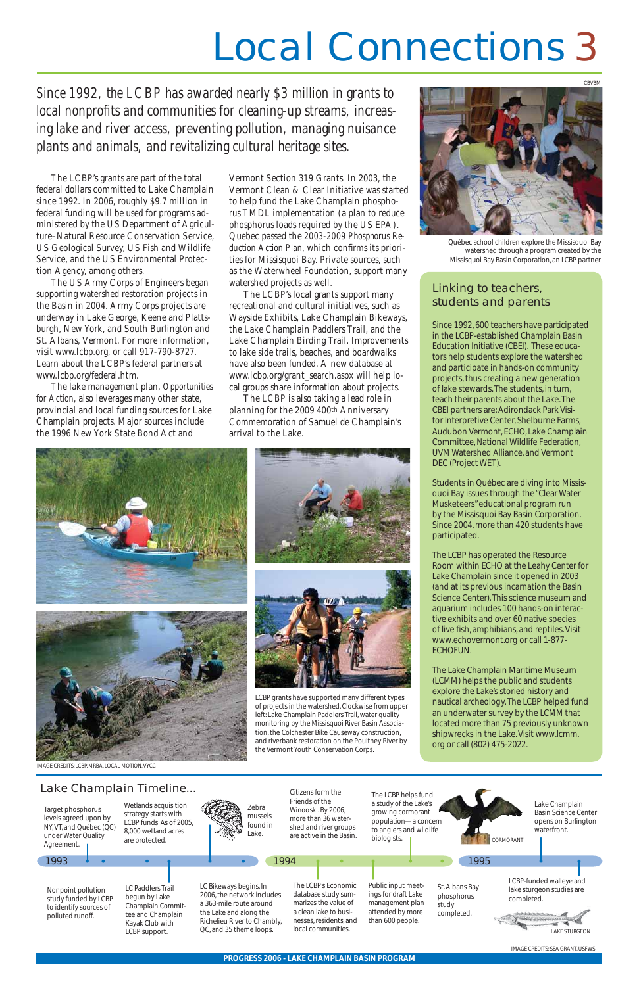# Linking to teachers, students and parents

Since 1992, 600 teachers have participated in the LCBP-established Champlain Basin Education Initiative (CBEI). These educators help students explore the watershed and participate in hands-on community projects, thus creating a new generation of lake stewards. The students, in turn, teach their parents about the Lake. The CBEI partners are: Adirondack Park Visitor Interpretive Center, Shelburne Farms, Audubon Vermont, ECHO, Lake Champlain Committee, National Wildlife Federation, UVM Watershed Alliance, and Vermont DEC (Project WET).

Students in Québec are diving into Missisquoi Bay issues through the "Clear Water Musketeers" educational program run by the Missisquoi Bay Basin Corporation. Since 2004, more than 420 students have participated.

The LCBP has operated the Resource Room within ECHO at the Leahy Center for Lake Champlain since it opened in 2003 (and at its previous incarnation the Basin Science Center). This science museum and aquarium includes 100 hands-on interactive exhibits and over 60 native species of live fish, amphibians, and reptiles. Visit www.echovermont.org or call 1-877- ECHOFUN.

The Lake Champlain Maritime Museum (LCMM) helps the public and students explore the Lake's storied history and nautical archeology. The LCBP helped fund an underwater survey by the LCMM that located more than 75 previously unknown shipwrecks in the Lake. Visit www.lcmm. org or call (802) 475-2022.

The LCBP's grants are part of the total federal dollars committed to Lake Champlain since 1992. In 2006, roughly \$9.7 million in federal funding will be used for programs administered by the US Department of Agriculture–Natural Resource Conservation Service, US Geological Survey, US Fish and Wildlife Service, and the US Environmental Protection Agency, among others.

The US Army Corps of Engineers began supporting watershed restoration projects in the Basin in 2004. Army Corps projects are underway in Lake George, Keene and Plattsburgh, New York, and South Burlington and St. Albans, Vermont. For more information, visit www.lcbp.org, or call 917-790-8727. Learn about the LCBP's federal partners at www.lcbp.org/federal.htm.

The lake management plan, *Opportunities for Action*, also leverages many other state, provincial and local funding sources for Lake Champlain projects. Major sources include the 1996 New York State Bond Act and

*Since 1992, the LCBP has awarded nearly \$3 million in grants to*  local nonprofits and communities for cleaning-up streams, increas*ing lake and river access, preventing pollution, managing nuisance plants and animals, and revitalizing cultural heritage sites.* 



Vermont Section 319 Grants. In 2003, the Vermont Clean & Clear Initiative was started to help fund the Lake Champlain phosphorus TMDL implementation (a plan to reduce phosphorus loads required by the US EPA). Quebec passed the *2003-2009 Phosphorus Re*duction Action Plan, which confirms its priorities for Missisquoi Bay. Private sources, such as the Waterwheel Foundation, support many watershed projects as well.

The LCBP's local grants support many recreational and cultural initiatives, such as Wayside Exhibits, Lake Champlain Bikeways, the Lake Champlain Paddlers Trail, and the Lake Champlain Birding Trail. Improvements to lake side trails, beaches, and boardwalks have also been funded. A new database at www.lcbp.org/grant\_search.aspx will help local groups share information about projects.

# Local Connections 3

The LCBP is also taking a lead role in planning for the 2009 400th Anniversary Commemoration of Samuel de Champlain's arrival to the Lake.









LCBP grants have supported many different types of projects in the watershed. Clockwise from upper left: Lake Champlain Paddlers Trail, water quality monitoring by the Missisquoi River Basin Associa-

tion, the Colchester Bike Causeway construction, and riverbank restoration on the Poultney River by the Vermont Youth Conservation Corps.



Québec school children explore the Missisquoi Bay watershed through a program created by the Missisquoi Bay Basin Corporation, an LCBP partner.

IMAGE CREDITS: SEA GRANT, USFWS

IMAGE CREDITS: LCBP, MRBA, LOCAL MOTION, VYCC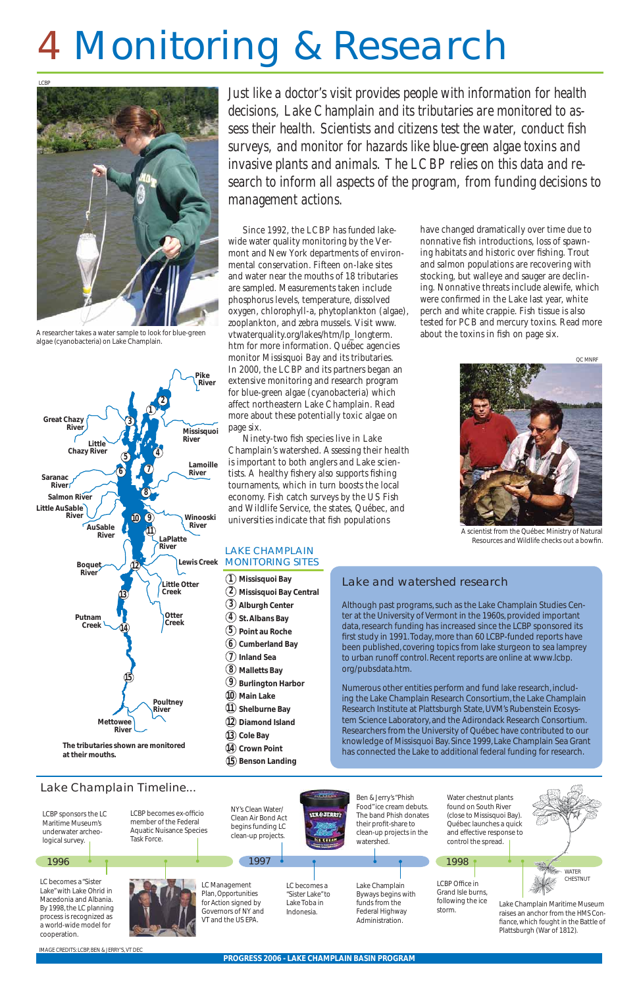

# 4 Monitoring & Research

*Just like a doctor's visit provides people with information for health decisions, Lake Champlain and its tributaries are monitored to as*sess their health. Scientists and citizens test the water, conduct fish *surveys, and monitor for hazards like blue-green algae toxins and invasive plants and animals. The LCBP relies on this data and research to inform all aspects of the program, from funding decisions to management actions.*

> have changed dramatically over time due to nonnative fish introductions, loss of spawning habitats and historic over fishing. Trout and salmon populations are recovering with stocking, but walleye and sauger are declining. Nonnative threats include alewife, which were confirmed in the Lake last year, white perch and white crappie. Fish tissue is also tested for PCB and mercury toxins. Read more about the toxins in fish on page six.

Since 1992, the LCBP has funded lakewide water quality monitoring by the Vermont and New York departments of environmental conservation. Fifteen on-lake sites and water near the mouths of 18 tributaries are sampled. Measurements taken include phosphorus levels, temperature, dissolved oxygen, chlorophyll-a, phytoplankton (algae), zooplankton, and zebra mussels. Visit www. vtwaterquality.org/lakes/htm/lp\_longterm. htm for more information. Québec agencies monitor Missisquoi Bay and its tributaries. In 2000, the LCBP and its partners began an extensive monitoring and research program for blue-green algae (cyanobacteria) which affect northeastern Lake Champlain. Read more about these potentially toxic algae on page six.

Ninety-two fish species live in Lake Champlain's watershed. Assessing their health is important to both anglers and Lake scientists. A healthy fishery also supports fishing tournaments, which in turn boosts the local economy. Fish catch surveys by the US Fish and Wildlife Service, the states, Québec, and universities indicate that fish populations



A scientist from the Québec Ministry of Natural Resources and Wildlife checks out a bowfin.

 $(13)$  Cole Bay **Crown Point 14 Benson Landing 15**

### Lake and watershed research

Although past programs, such as the Lake Champlain Studies Center at the University of Vermont in the 1960s, provided important data, research funding has increased since the LCBP sponsored its first study in 1991. Today, more than 60 LCBP-funded reports have been published, covering topics from lake sturgeon to sea lamprey to urban runoff control. Recent reports are online at www.lcbp. org/pubsdata.htm.

Numerous other entities perform and fund lake research, including the Lake Champlain Research Consortium, the Lake Champlain Research Institute at Plattsburgh State, UVM's Rubenstein Ecosystem Science Laboratory, and the Adirondack Research Consortium. Researchers from the University of Québec have contributed to our knowledge of Missisquoi Bay. Since 1999, Lake Champlain Sea Grant has connected the Lake to additional federal funding for research.







A researcher takes a water sample to look for blue-green algae (cyanobacteria) on Lake Champlain.

**The tributaries shown are monitored at their mouths.**

IMAGE CREDITS: LCBP, BEN & JERRY'S, VT DEC

### LAKE CHAMPLAIN MONITORING SITES

- **Missisquoi Bay 1 Missisquoi Bay Central 2 Alburgh Center 3**  $4$ ) St. Albans Bay **Point au Roche 5 Cumberland Bay 6**  $\bm{\mathcal{U}}$  Inland Sea **Malletts Bay 8 Burlington Harbor 9 Main Lake 10 Shelburne Bay 11**
- **Diamond Island 12**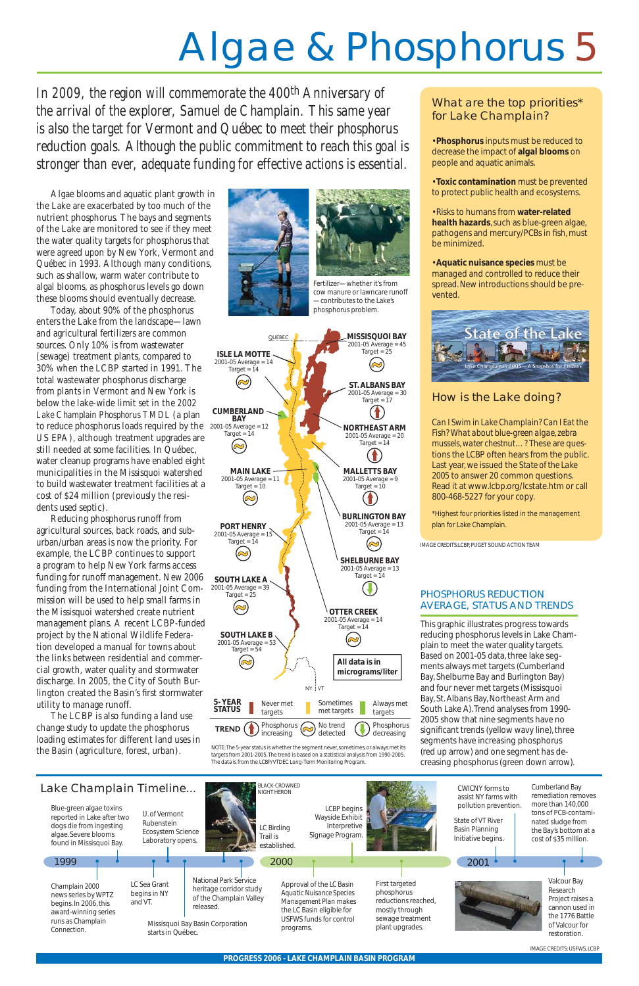# Algae & Phosphorus 5

*In 2009, the region will commemorate the 400th Anniversary of the arrival of the explorer, Samuel de Champlain. This same year is also the target for Vermont and Québec to meet their phosphorus reduction goals. Although the public commitment to reach this goal is stronger than ever, adequate funding for effective actions is essential.*

Algae blooms and aquatic plant growth in the Lake are exacerbated by too much of the nutrient phosphorus. The bays and segments of the Lake are monitored to see if they meet the water quality targets for phosphorus that were agreed upon by New York, Vermont and Québec in 1993. Although many conditions, such as shallow, warm water contribute to algal blooms, as phosphorus levels go down these blooms should eventually decrease.

Today, about 90% of the phosphorus enters the Lake from the landscape—lawn and agricultural fertilizers are common sources. Only 10% is from wastewater (sewage) treatment plants, compared to 30% when the LCBP started in 1991. The total wastewater phosphorus discharge from plants in Vermont and New York is below the lake-wide limit set in the *2002 Lake Champlain Phosphorus TMDL* (a plan to reduce phosphorus loads required by the US EPA), although treatment upgrades are still needed at some facilities. In Québec, water cleanup programs have enabled eight municipalities in the Missisquoi watershed to build wastewater treatment facilities at a cost of \$24 million (previously the residents used septic).

Reducing phosphorus runoff from agricultural sources, back roads, and suburban/urban areas is now the priority. For example, the LCBP continues to support a program to help New York farms access funding for runoff management. New 2006 funding from the International Joint Commission will be used to help small farms in the Missisquoi watershed create nutrient management plans. A recent LCBP-funded project by the National Wildlife Federation developed a manual for towns about the links between residential and commercial growth, water quality and stormwater discharge. In 2005, the City of South Burlington created the Basin's first stormwater utility to manage runoff.



The LCBP is also funding a land use change study to update the phosphorus loading estimates for different land uses in the Basin (agriculture, forest, urban).





### What are the top priorities\* for Lake Champlain?

- **Phosphorus** inputs must be reduced to decrease the impact of **algal blooms** on people and aquatic animals.
- **Toxic contamination** must be prevented to protect public health and ecosystems.
- Risks to humans from **water-related health hazards**, such as blue-green algae, pathogens and mercury/PCBs in fish, must be minimized.
- **Aquatic nuisance species** must be managed and controlled to reduce their spread. New introductions should be prevented.



# How is the Lake doing?

*Can I Swim in Lake Champlain? Can I Eat the Fish? What about blue-green algae, zebra mussels, water chestnut…?* These are questions the LCBP often hears from the public. Last year, we issued the *State of the Lake 2005* to answer 20 common questions. Read it at www.lcbp.org/lcstate.htm or call 800-468-5227 for your copy.

\*Highest four priorities listed in the management plan for Lake Champlain.

IMAGE CREDITS: USFWS, LCBP

This graphic illustrates progress towards reducing phosphorus levels in Lake Champlain to meet the water quality targets. Based on 2001-05 data, three lake segments always met targets (Cumberland Bay, Shelburne Bay and Burlington Bay) and four never met targets (Missisquoi Bay, St. Albans Bay, Northeast Arm and South Lake A). Trend analyses from 1990- 2005 show that nine segments have no significant trends (yellow wavy line), three segments have increasing phosphorus (red up arrow) and one segment has decreasing phosphorus (green down arrow).

### PHOSPHORUS REDUCTION AVERAGE, STATUS AND TRENDS

Fertilizer—whether it's from cow manure or lawncare runoff —contributes to the Lake's phosphorus problem.

IMAGE CREDITS:LCBP, PUGET SOUND ACTION TEAM





NOTE: The 5-year status is whether the segment never, sometimes, or always met its targets from 2001-2005. The trend is based on a statistical analysis from 1990-2005. The data is from the LCBP/VTDEC Long-Term Monitoring Program.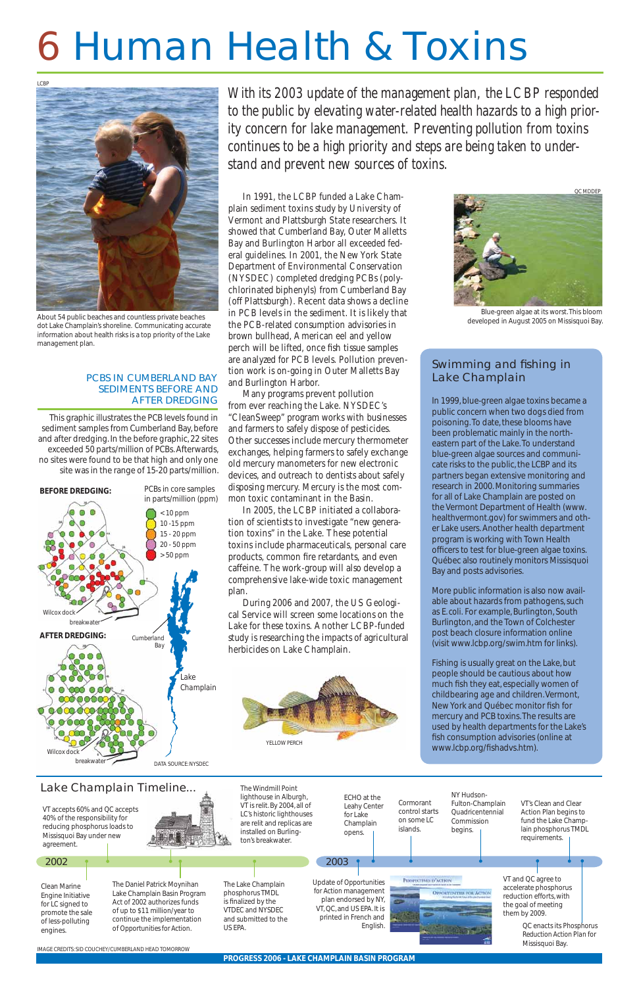# 6 Human Health & Toxins

*With its 2003 update of the management plan, the LCBP responded to the public by elevating water-related health hazards to a high priority concern for lake management. Preventing pollution from toxins continues to be a high priority and steps are being taken to understand and prevent new sources of toxins.*

### Swimming and fishing in Lake Champlain

In 1991, the LCBP funded a Lake Champlain sediment toxins study by University of Vermont and Plattsburgh State researchers. It showed that Cumberland Bay, Outer Malletts Bay and Burlington Harbor all exceeded federal guidelines. In 2001, the New York State Department of Environmental Conservation (NYSDEC) completed dredging PCBs (polychlorinated biphenyls) from Cumberland Bay (off Plattsburgh). Recent data shows a decline in PCB levels in the sediment. It is likely that the PCB-related consumption advisories in brown bullhead, American eel and yellow perch will be lifted, once fish tissue samples are analyzed for PCB levels. Pollution prevention work is on-going in Outer Malletts Bay and Burlington Harbor.

> Fishing is usually great on the Lake, but people should be cautious about how much fish they eat, especially women of childbearing age and children. Vermont, New York and Québec monitor fish for mercury and PCB toxins. The results are used by health departments for the Lake's fish consumption advisories (online at www.lcbp.org/fishadvs.htm).



Many programs prevent pollution from ever reaching the Lake. NYSDEC's "CleanSweep" program works with businesses and farmers to safely dispose of pesticides. Other successes include mercury thermometer exchanges, helping farmers to safely exchange old mercury manometers for new electronic devices, and outreach to dentists about safely disposing mercury. Mercury is the most common toxic contaminant in the Basin.

In 2005, the LCBP initiated a collaboration of scientists to investigate "new generation toxins" in the Lake. These potential toxins include pharmaceuticals, personal care products, common fire retardants, and even caffeine. The work-group will also develop a comprehensive lake-wide toxic management plan.

During 2006 and 2007, the US Geological Service will screen some locations on the Lake for these toxins. Another LCBP-funded study is researching the impacts of agricultural herbicides on Lake Champlain.

In 1999, blue-green algae toxins became a public concern when two dogs died from poisoning. To date, these blooms have been problematic mainly in the northeastern part of the Lake. To understand blue-green algae sources and communicate risks to the public, the LCBP and its partners began extensive monitoring and research in 2000. Monitoring summaries for all of Lake Champlain are posted on the Vermont Department of Health (www. healthvermont.gov) for swimmers and other Lake users. Another health department program is working with Town Health officers to test for blue-green algae toxins. Québec also routinely monitors Missisquoi Bay and posts advisories.

More public information is also now available about hazards from pathogens, such as *E. coli.* For example, Burlington, South Burlington, and the Town of Colchester post beach closure information online (visit www.lcbp.org/swim.htm for links).



About 54 public beaches and countless private beaches dot Lake Champlain's shoreline. Communicating accurate information about health risks is a top priority of the Lake management plan.



This graphic illustrates the PCB levels found in sediment samples from Cumberland Bay, before and after dredging. In the before graphic, 22 sites exceeded 50 parts/million of PCBs. Afterwards, no sites were found to be that high and only one site was in the range of 15-20 parts/million.

#### PCBS IN CUMBERLAND BAY SEDIMENTS BEFORE AND AFTER DREDGING



Blue-green algae at its worst. This bloom developed in August 2005 on Missisquoi Bay.

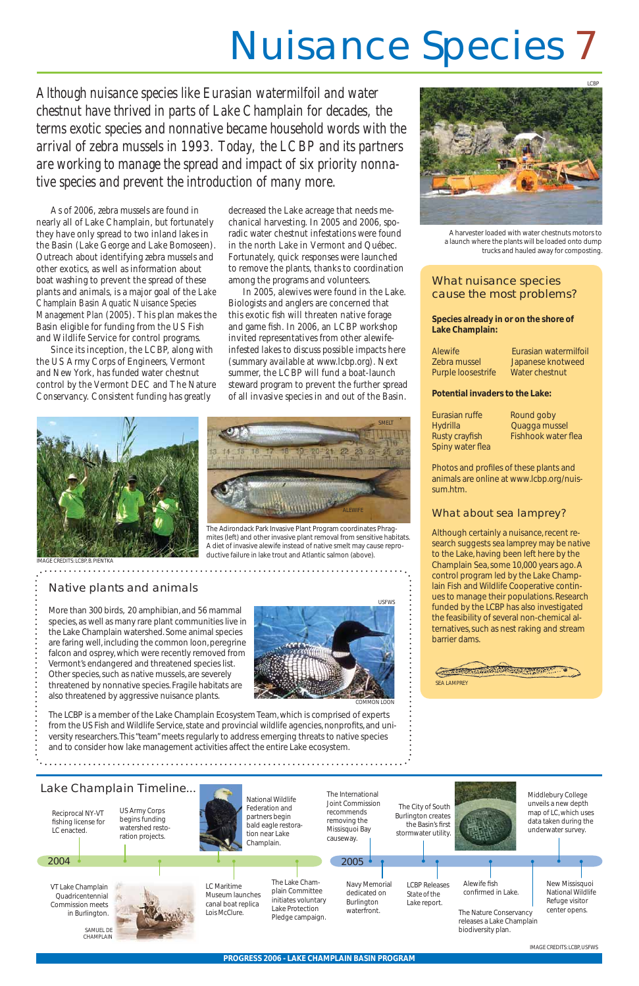# Nuisance Species 7

*Although nuisance species like Eurasian watermilfoil and water chestnut have thrived in parts of Lake Champlain for decades, the terms exotic species and nonnative became household words with the arrival of zebra mussels in 1993. Today, the LCBP and its partners are working to manage the spread and impact of six priority nonnative species and prevent the introduction of many more.*

> Photos and profiles of these plants and animals are online at www.lcbp.org/nuissum.htm.

As of 2006, zebra mussels are found in nearly all of Lake Champlain, but fortunately they have only spread to two inland lakes in the Basin (Lake George and Lake Bomoseen). Outreach about identifying zebra mussels and other exotics, as well as information about boat washing to prevent the spread of these plants and animals, is a major goal of the *Lake Champlain Basin Aquatic Nuisance Species Management Plan* (2005). This plan makes the Basin eligible for funding from the US Fish and Wildlife Service for control programs.

Since its inception, the LCBP, along with the US Army Corps of Engineers, Vermont and New York, has funded water chestnut control by the Vermont DEC and The Nature Conservancy. Consistent funding has greatly

### What nuisance species cause the most problems?

**Species already in or on the shore of Lake Champlain:**

| <b>Alewife</b>     | Eurasian watermilfoil |
|--------------------|-----------------------|
| Zebra mussel       | Japanese knotweed     |
| Purple loosestrife | Water chestnut        |

#### **Potential invaders to the Lake:**

| Eurasian ruffe   | Round goby                 |
|------------------|----------------------------|
| Hydrilla         | Quagga mussel              |
| Rusty crayfish   | <b>Fishhook water flea</b> |
| Spiny water flea |                            |

## What about sea lamprey?



Although certainly a nuisance, recent research suggests sea lamprey may be *native* to the Lake, having been left here by the Champlain Sea, some 10,000 years ago. A control program led by the Lake Champlain Fish and Wildlife Cooperative continues to manage their populations. Research funded by the LCBP has also investigated the feasibility of several non-chemical alternatives, such as nest raking and stream barrier dams.

decreased the Lake acreage that needs mechanical harvesting. In 2005 and 2006, sporadic water chestnut infestations were found in the north Lake in Vermont and Québec. Fortunately, quick responses were launched to remove the plants, thanks to coordination among the programs and volunteers.

In 2005, alewives were found in the Lake. Biologists and anglers are concerned that this exotic fish will threaten native forage and game fish. In 2006, an LCBP workshop invited representatives from other alewifeinfested lakes to discuss possible impacts here (summary available at www.lcbp.org). Next summer, the LCBP will fund a boat-launch steward program to prevent the further spread of all invasive species in and out of the Basin.

# Native plants and animals

More than 300 birds, 20 amphibian, and 56 mammal species, as well as many rare plant communities live in the Lake Champlain watershed. Some animal species are faring well, including the common loon, peregrine falcon and osprey, which were recently removed from Vermont's endangered and threatened species list. Other species, such as native mussels, are severely threatened by nonnative species. Fragile habitats are also threatened by aggressive nuisance plants.

The LCBP is a member of the Lake Champlain Ecosystem Team, which is comprised of experts from the US Fish and Wildlife Service, state and provincial wildlife agencies, nonprofi ts, and university researchers. This "team" meets regularly to address emerging threats to native species and to consider how lake management activities affect the entire Lake ecosystem.

IMAGE CREDITS: LCBP, USFWS





A harvester loaded with water chestnuts motors to a launch where the plants will be loaded onto dump trucks and hauled away for composting.



The Adirondack Park Invasive Plant Program coordinates Phragmites (left) and other invasive plant removal from sensitive habitats. A diet of invasive alewife instead of native smelt may cause reproductive failure in lake trout and Atlantic salmon (above).

SMELT